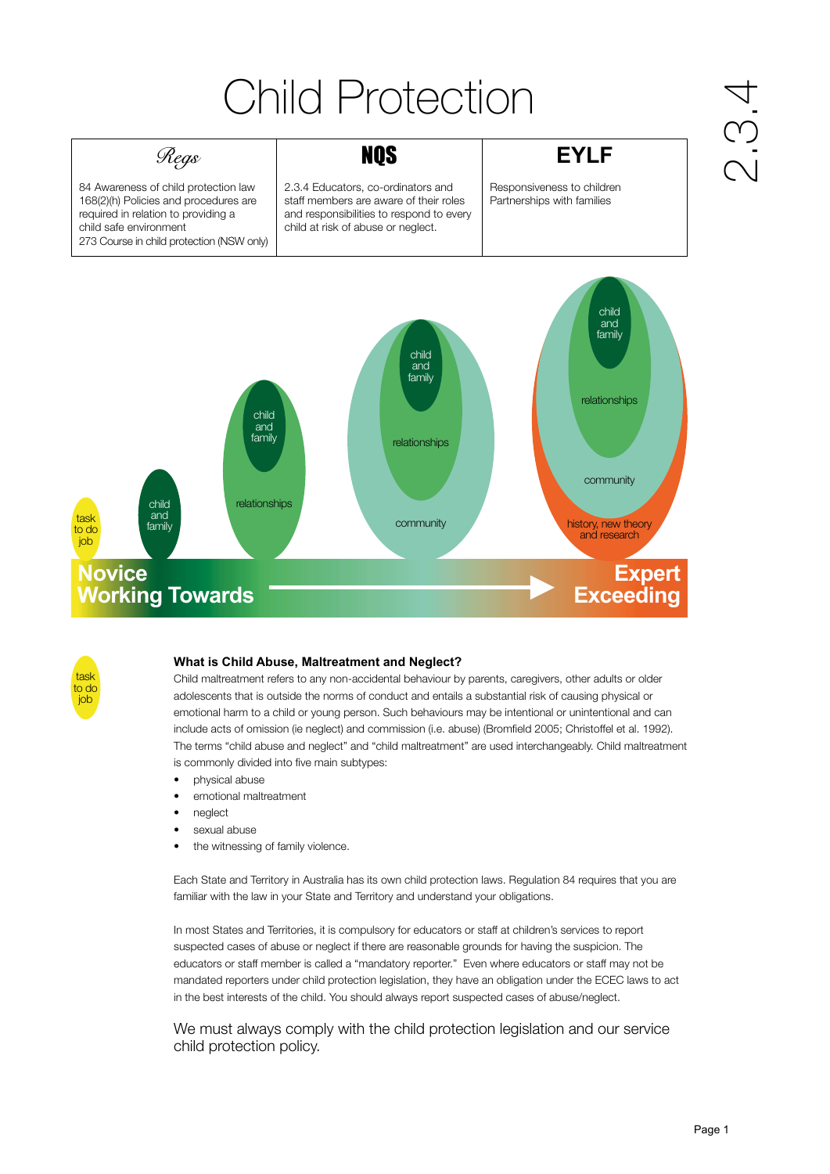# Child Protection

# *Regs* | **NQS EYLF**

84 Awareness of child protection law 168(2)(h) Policies and procedures are required in relation to providing a child safe environment 273 Course in child protection (NSW only)

2.3.4 Educators, co-ordinators and staff members are aware of their roles and responsibilities to respond to every child at risk of abuse or neglect.

Responsiveness to children Partnerships with families

# $\frac{1}{2}$ .





#### **What is Child Abuse, Maltreatment and Neglect?**

Child maltreatment refers to any non-accidental behaviour by parents, caregivers, other adults or older adolescents that is outside the norms of conduct and entails a substantial risk of causing physical or emotional harm to a child or young person. Such behaviours may be intentional or unintentional and can include acts of omission (ie neglect) and commission (i.e. abuse) (Bromfield 2005; Christoffel et al. 1992). The terms "child abuse and neglect" and "child maltreatment" are used interchangeably. Child maltreatment is commonly divided into five main subtypes:

- physical abuse
- emotional maltreatment
- neglect
- sexual abuse
- the witnessing of family violence.

Each State and Territory in Australia has its own child protection laws. Regulation 84 requires that you are familiar with the law in your State and Territory and understand your obligations.

In most States and Territories, it is compulsory for educators or staff at children's services to report suspected cases of abuse or neglect if there are reasonable grounds for having the suspicion. The educators or staff member is called a "mandatory reporter." Even where educators or staff may not be mandated reporters under child protection legislation, they have an obligation under the ECEC laws to act in the best interests of the child. You should always report suspected cases of abuse/neglect.

We must always comply with the child protection legislation and our service child protection policy.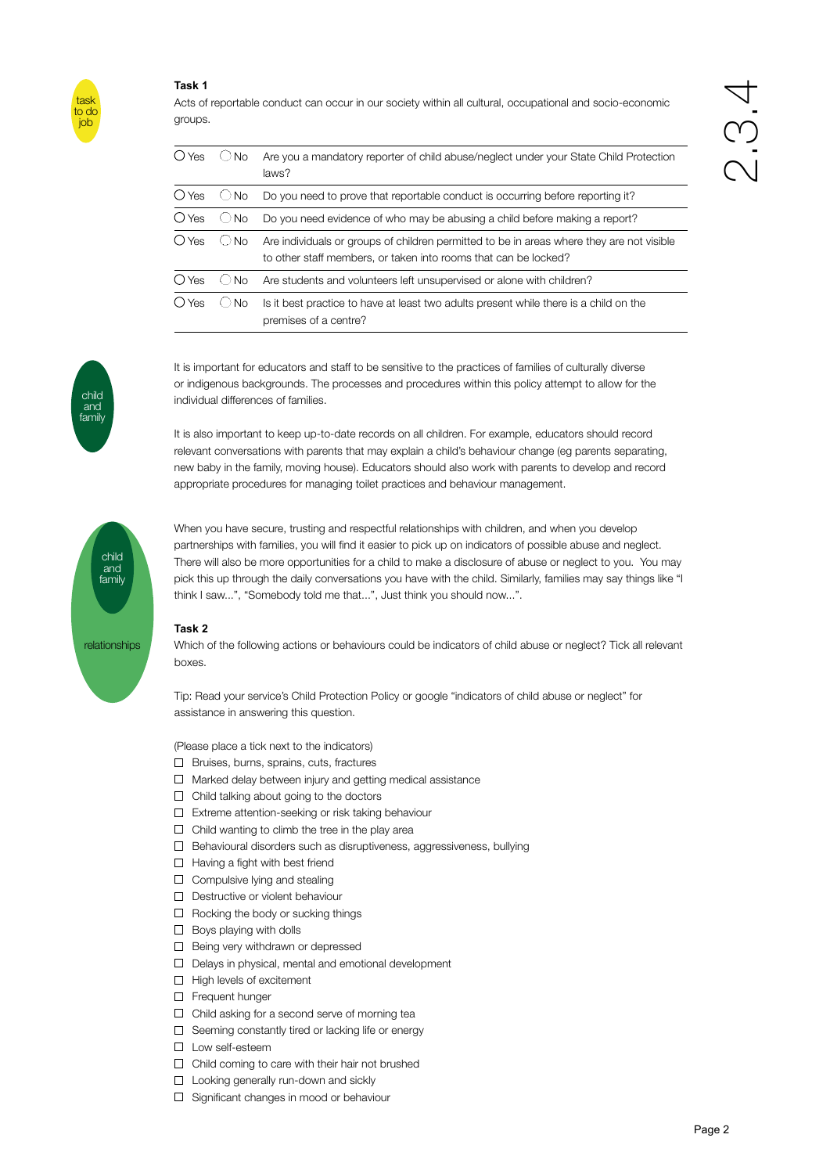#### **Task 1**



child and family Acts of reportable conduct can occur in our society within all cultural, occupational and socio-economic groups.

| () Yes         | No.       | Are you a mandatory reporter of child abuse/neglect under your State Child Protection<br>laws?                                                               |
|----------------|-----------|--------------------------------------------------------------------------------------------------------------------------------------------------------------|
| () Yes         | ∪No       | Do you need to prove that reportable conduct is occurring before reporting it?                                                                               |
| $\bigcirc$ Yes | $\cup$ No | Do you need evidence of who may be abusing a child before making a report?                                                                                   |
| O Yes          | ∣No.      | Are individuals or groups of children permitted to be in areas where they are not visible<br>to other staff members, or taken into rooms that can be locked? |
| () Yes         | N∩        | Are students and volunteers left unsupervised or alone with children?                                                                                        |
| () Yes         | <b>No</b> | Is it best practice to have at least two adults present while there is a child on the<br>premises of a centre?                                               |

It is important for educators and staff to be sensitive to the practices of families of culturally diverse or indigenous backgrounds. The processes and procedures within this policy attempt to allow for the individual differences of families.

It is also important to keep up-to-date records on all children. For example, educators should record relevant conversations with parents that may explain a child's behaviour change (eg parents separating, new baby in the family, moving house). Educators should also work with parents to develop and record appropriate procedures for managing toilet practices and behaviour management.



When you have secure, trusting and respectful relationships with children, and when you develop partnerships with families, you will find it easier to pick up on indicators of possible abuse and neglect. There will also be more opportunities for a child to make a disclosure of abuse or neglect to you. You may pick this up through the daily conversations you have with the child. Similarly, families may say things like "I think I saw...", "Somebody told me that...", Just think you should now...".

#### **Task 2**

Which of the following actions or behaviours could be indicators of child abuse or neglect? Tick all relevant boxes.

Tip: Read your service's Child Protection Policy or google "indicators of child abuse or neglect" for assistance in answering this question.

(Please place a tick next to the indicators)

- □ Bruises, burns, sprains, cuts, fractures
- $\Box$  Marked delay between injury and getting medical assistance
- $\Box$  Child talking about going to the doctors
- $\Box$  Extreme attention-seeking or risk taking behaviour
- $\Box$  Child wanting to climb the tree in the play area
- $\Box$  Behavioural disorders such as disruptiveness, aggressiveness, bullying
- $\Box$  Having a fight with best friend
- $\Box$  Compulsive lying and stealing
- D Destructive or violent behaviour
- $\Box$  Rocking the body or sucking things
- $\Box$  Boys playing with dolls
- $\Box$  Being very withdrawn or depressed
- D Delays in physical, mental and emotional development
- $\Box$  High levels of excitement
- **D** Frequent hunger
- $\Box$  Child asking for a second serve of morning tea
- $\square$  Seeming constantly tired or lacking life or energy
- Low self-esteem
- $\Box$  Child coming to care with their hair not brushed
- □ Looking generally run-down and sickly
- □ Significant changes in mood or behaviour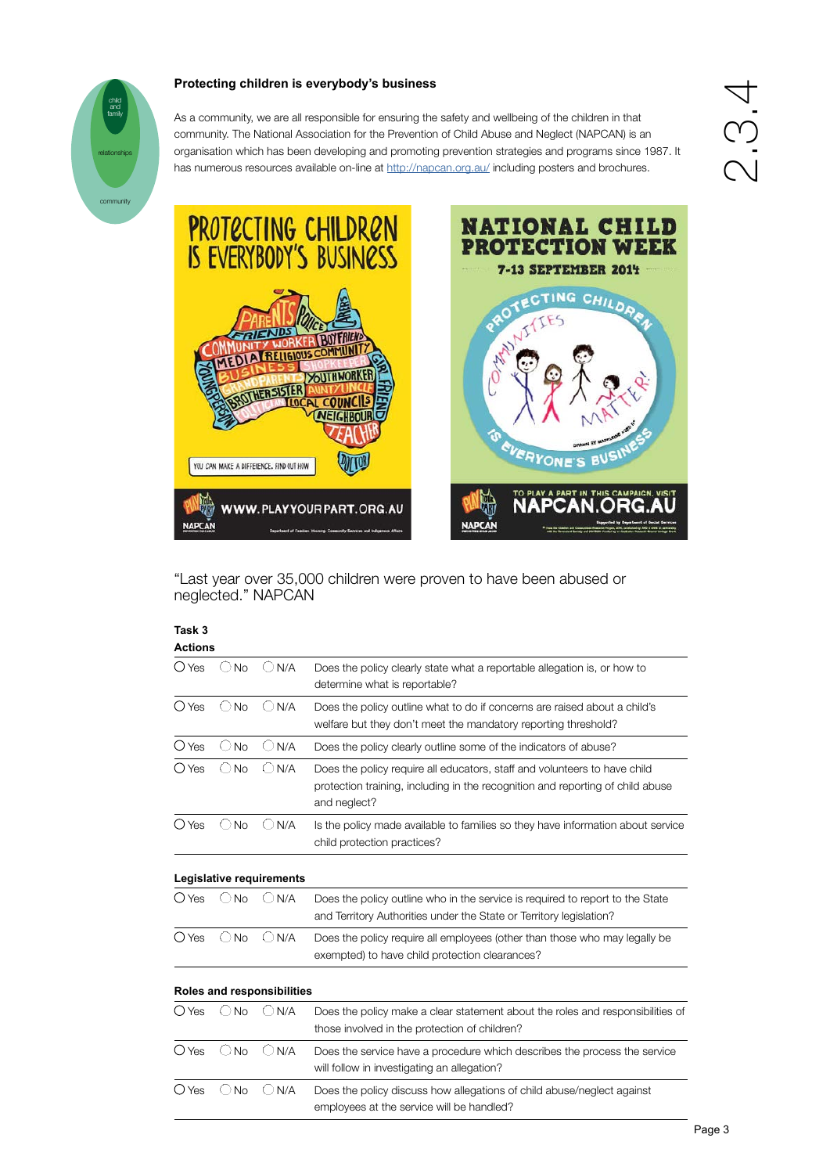### **Protecting children is everybody's business**



## As a community, we are all responsible for ensuring the safety and wellbeing of the children in that community. The National Association for the Prevention of Child Abuse and Neglect (NAPCAN) is an organisation which has been developing and promoting prevention strategies and programs since 1987. It



has numerous resources available on-line at <http://napcan.org.au/> including posters and brochures.



"Last year over 35,000 children were proven to have been abused or neglected." NAPCAN

| Task 3         |                       |                            |                                                                                                                                                                             |
|----------------|-----------------------|----------------------------|-----------------------------------------------------------------------------------------------------------------------------------------------------------------------------|
| <b>Actions</b> |                       |                            |                                                                                                                                                                             |
| $\bigcirc$ Yes | <b>No</b>             | N/A<br>( )                 | Does the policy clearly state what a reportable allegation is, or how to<br>determine what is reportable?                                                                   |
| $O$ Yes        | <b>No</b><br>О.       | N/A                        | Does the policy outline what to do if concerns are raised about a child's<br>welfare but they don't meet the mandatory reporting threshold?                                 |
| $O$ Yes        | <b>No</b>             | N/A                        | Does the policy clearly outline some of the indicators of abuse?                                                                                                            |
| (C) Yes        | N <sub>o</sub><br>( ) | ()<br>N/A                  | Does the policy require all educators, staff and volunteers to have child<br>protection training, including in the recognition and reporting of child abuse<br>and neglect? |
| O Yes          | No                    | N/A                        | Is the policy made available to families so they have information about service<br>child protection practices?                                                              |
|                |                       | Legislative requirements   |                                                                                                                                                                             |
| $\bigcirc$ Yes | <b>No</b>             | N/A                        | Does the policy outline who in the service is required to report to the State<br>and Territory Authorities under the State or Territory legislation?                        |
| $O$ Yes        | $\bigcirc$ No         | $\bigcirc$ N/A             | Does the policy require all employees (other than those who may legally be<br>exempted) to have child protection clearances?                                                |
|                |                       | Roles and responsibilities |                                                                                                                                                                             |
| O Yes          | <b>No</b>             | N/A                        | Does the policy make a clear statement about the roles and responsibilities of<br>those involved in the protection of children?                                             |
| $\bigcirc$ Yes | ( )<br><b>No</b>      | N/A                        | Does the service have a procedure which describes the process the service<br>will follow in investigating an allegation?                                                    |
| $\bigcirc$ Yes | <b>No</b>             | N/A                        | Does the policy discuss how allegations of child abuse/neglect against<br>employees at the service will be handled?                                                         |